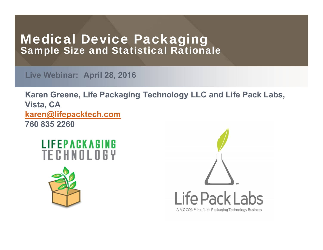### Medical Device Packaging Sample Size and Statistical Rationale

**Live Webinar: April 28, 2016**

**Karen Greene, Life Packaging Technology LLC and Life Pack Labs, Vista, CA karen@lifepacktech.com 760 835 2260**





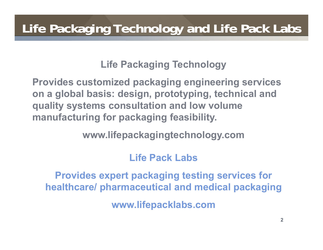**Life Packaging Technology**

**Provides customized packaging engineering services on a global basis: design, prototyping, technical and quality systems consultation and low volume manufacturing for packaging feasibility.**

**www.lifepackagingtechnology.com**

### **Life Pack Labs**

**Provides expert packaging testing services for healthcare/ pharmaceutical and medical packaging www.lifepacklabs.com**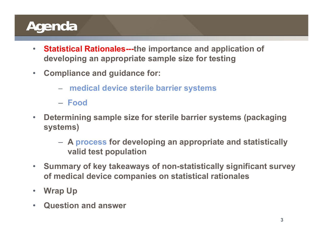### **Agenda**

- $\bullet$  **Statistical Rationales---the importance and application of developing an appropriate sample size for testing**
- $\bullet$  **Compliance and guidance for:**
	- **medical device sterile barrier systems**
	- **Food**
- $\bullet$  **Determining sample size for sterile barrier systems (packaging systems)**
	- **A process for developing an appropriate and statistically valid test population**
- • **Summary of key takeaways of non-statistically significant survey of medical device companies on statistical rationales**
- $\bullet$ **Wrap Up**
- $\bullet$ **Question and answer**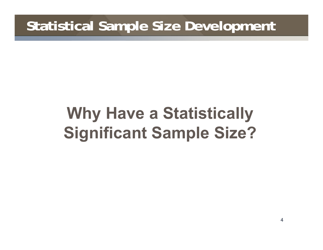### **Statistical Sample Size Development**

# **Why Have a Statistically Significant Sample Size?**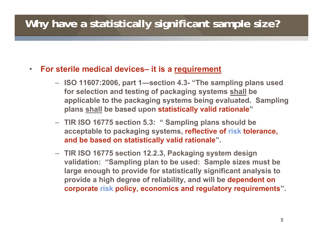### **Why have a statistically significant sample size?**

#### • **For sterile medical devices– it is a requirement**

- **ISO 11607:2006, part 1—section 4.3- "The sampling plans used for selection and testing of packaging systems shall be applicable to the packaging systems being evaluated. Sampling plans shall be based upon statistically valid rationale "**
- **TIR ISO 16775 section 5.3: " Sampling plans should be acceptable to packaging systems, reflective of risk tolerance, and be based on statistically valid rationale".**
- **TIR ISO 16775 section 12.2.3, Packaging system design validation: "Sampling plan to be used: Sample sizes must be large enough to provide for statistically significant analysis to provide a high degree of reliability, and will be dependent on corporate risk policy, economics and regulatory requirements".**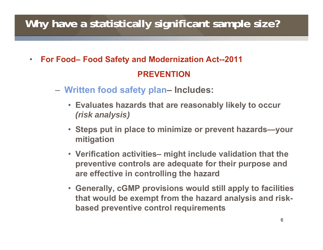### **Why have a statistically significant sample size?**

- $\bullet$  **For Food– Food Safety and Modernization Act--2011 PREVENTION**
	- **Written food safety plan– Includes:**
		- **Evaluates hazards that are reasonably likely to occur**  *(risk analysis)*
		- **Steps put in place to minimize or prevent hazards—your mitigation**
		- **Verification activities– might include validation that the preventive controls are adequate for their purpose and are effective in controlling the hazard**
		- **Generally, cGMP provisions would still apply to facilities that would be exempt from the hazard analysis and riskbased preventive control requirements**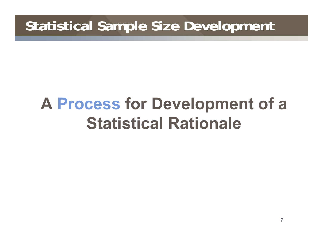### **Statistical Sample Size Development**

# **A Process for Development of a Statistical Rationale**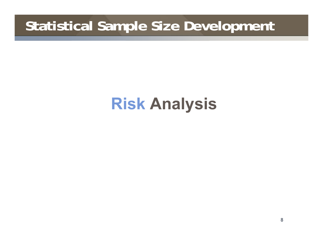### **Statistical Sample Size Development**

## **Risk Analysis**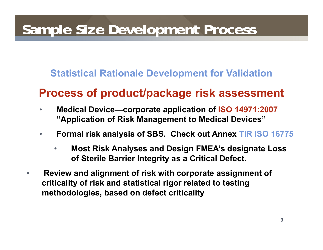#### **Statistical Rationale Development for Validation**

### **Process of product/package risk assessment**

- $\bullet$  **Medical Device—corporate application of ISO 14971:2007 "Application of Risk Management to Medical Devices"**
- $\bullet$  **Formal risk analysis of SBS. Check out Annex TIR ISO 16775** 
	- • **Most Risk Analyses and Design FMEA's designate Loss of Sterile Barrier Integrity as a Critical Defect.**
- $\bullet$  **Review and alignment of risk with corporate assignment of criticality of risk and statistical rigor related to testing methodologies, based on defect criticality**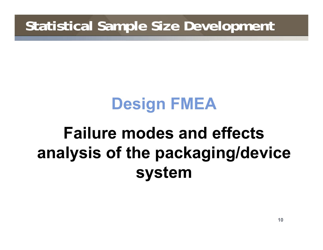### **Statistical Sample Size Development**

# **Design FMEA**

# **Failure modes and effects analysis of the packaging/device system**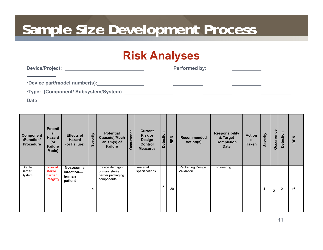### **Risk Analyses**

**Performed by:** 

•**Device part/model number(s):**

•**Type: (Component/ Subsystem/System)** 

**Date:** 

| <b>Component</b><br>/Function/<br><b>Procedure</b> | <b>Potenti</b><br>al<br><b>Hazard</b><br>(or<br><b>Failure</b><br>Mode) | <b>Effects of</b><br><b>Hazard</b><br>(or Failure) | Severity | <b>Potential</b><br>Cause(s)/Mech<br>anism(s) of<br><b>Failure</b>    | Occurrence | <b>Current</b><br><b>Risk or</b><br><b>Design</b><br>Control<br><b>Measures</b> | <b>Detection</b> | <b>RPN</b> | <b>Recommended</b><br>Action(s) | <b>Responsibility</b><br>& Target<br><b>Completion</b><br><b>Date</b> | <b>Action</b><br>$\mathbf{s}$<br><b>Taken</b> | Severity | Occurrence     | Detection | <b>RPN</b> |
|----------------------------------------------------|-------------------------------------------------------------------------|----------------------------------------------------|----------|-----------------------------------------------------------------------|------------|---------------------------------------------------------------------------------|------------------|------------|---------------------------------|-----------------------------------------------------------------------|-----------------------------------------------|----------|----------------|-----------|------------|
| Sterile<br>Barrier<br>System                       | loss of<br>sterile<br>barrier<br>integrity                              | Nosocomial<br>infection-<br>human<br>patient       | 4        | device damaging<br>primary sterile<br>barrier packaging<br>components |            | material<br>specifications                                                      | 5                | 20         | Packaging Design<br>Validation  | Engineering                                                           |                                               | 4        | $\overline{2}$ | 2         | 16         |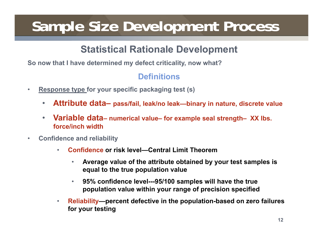#### **Statistical Rationale Development**

**So now that I have determined my defect criticality, now what?**

#### **Definitions**

- • **Response type for your specific packaging test (s)**
	- $\bullet$ **Attribute data– pass/fail, leak/no leak—binary in nature, discrete value**
	- $\bullet$  **Variable data– numerical value– for example seal strength– XX lbs. force/inch width**
- • **Confidence and reliability**
	- • **Confidence or risk level—Central Limit Theorem**
		- • **Average value of the attribute obtained by your test samples is equal to the true population value**
		- • **95% confidence level---95/100 samples will have the true population value within your range of precision specified**
	- • **Reliability—percent defective in the population-based on zero failures for your testing**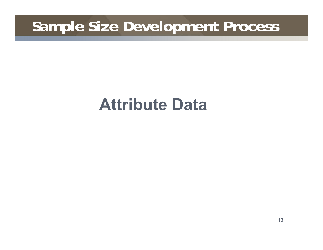## **Attribute Data**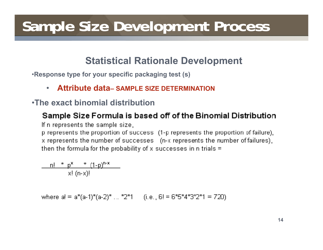#### **Statistical Rationale Development**

•**Response type for your specific packaging test (s)**

•**Attribute data– SAMPLE SIZE DETERMINATION**

#### •**The exact binomial distribution**

#### Sample Size Formula is based off of the Binomial Distribution

If n represents the sample size,

p represents the proportion of success (1-p represents the proportion of failure), x represents the number of successes (n-x represents the number of failures). then the formula for the probability of x successes in n trials  $=$ 

$$
\frac{n! \times p^x \times (1-p)^{n-x}}{x! (n-x)!}
$$

where  $a! = a*(a-1)*(a-2)*...*2*1$  (i.e., 6! = 6\*5\*4\*3\*2\*1 = 720)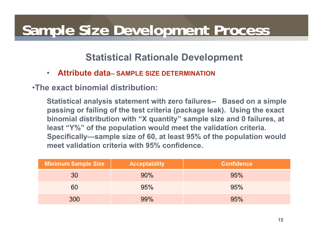#### **Statistical Rationale Development**

•**Attribute data– SAMPLE SIZE DETERMINATION**

•**The exact binomial distribution:**

**Statistical analysis statement with zero failures-- Based on a simple passing or failing of the test criteria (package leak). Using the exact binomial distribution with "X quantity" sample size and 0 failures, at least "Y%" of the population would meet the validation criteria. Specifically—sample size of 60, at least 95% of the population would meet validation criteria with 95% confidence.**

| <b>Minimum Sample Size</b> | <b>Acceptability</b> | <b>Confidence</b> |
|----------------------------|----------------------|-------------------|
| 30                         | 90%                  | 95%               |
| 60                         | 95%                  | 95%               |
| 300                        | 99%                  | 95%               |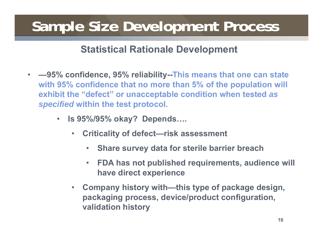#### **Statistical Rationale Development**

- • **—95% confidence, 95% reliability--This means that one can state with 95% confidence that no more than 5% of the population will exhibit the "defect" or unacceptable condition when tested** *as specified* **within the test protocol.**
	- **Is 95%/95% okay? Depends….**
		- $\bullet$  **Criticality of defect—risk assessment**
			- •**Share survey data for sterile barrier breach**
			- $\bullet$  **FDA has not published requirements, audience will have direct experience**
		- $\bullet$  **Company history with—this type of package design, packaging process, device/product configuration, validation history**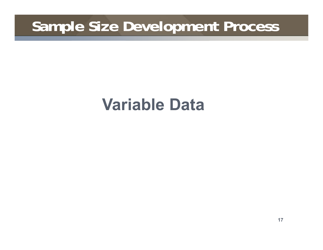## **Variable Data**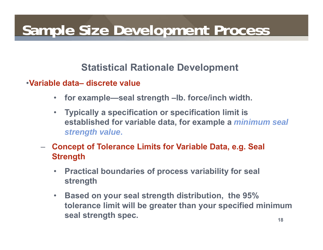#### **Statistical Rationale Development**

#### •**Variable data– discrete value**

- $\bullet$ **for example—seal strength –lb. force/inch width.**
- • **Typically a specification or specification limit is established for variable data, for example a** *minimum seal strength value***.**
- – **Concept of Tolerance Limits for Variable Data, e.g. Seal Strength**
	- • **Practical boundaries of process variability for seal strength**
	- $\bullet$  **Based on your seal strength distribution, the 95% tolerance limit will be greater than your specified minimum seal strength spec.**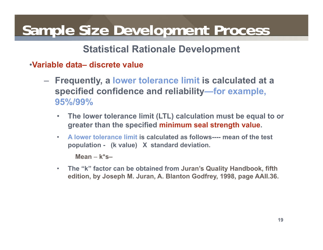#### **Statistical Rationale Development**

- •**Variable data– discrete value**
	- **Frequently, a lower tolerance limit is calculated at a specified confidence and reliability—for example, 95%/99%**
		- $\bullet$  **The lower tolerance limit (LTL) calculation must be equal to or greater than the specified minimum seal strength value.**
		- • **A lower tolerance limit is calculated as follows---- mean of the test population - (k value) X standard deviation.**

**Mean** – **k\*s–**

• **The "k" factor can be obtained from Juran's Quality Handbook, fifth edition, by Joseph M. Juran, A. Blanton Godfrey, 1998, page AAII.36.**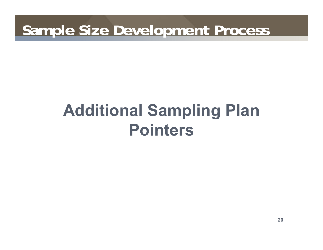# **Additional Sampling Plan Pointers**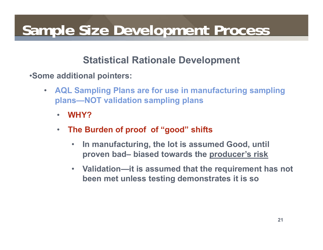#### **Statistical Rationale Development**

•**Some additional pointers:**

- $\bullet$  **AQL Sampling Plans are for use in manufacturing sampling plans—NOT validation sampling plans**
	- $\bullet$ **WHY?**
	- $\bullet$  **The Burden of proof of "good" shifts**
		- $\bullet$  **In manufacturing, the lot is assumed Good, until proven bad– biased towards the producer's risk**
		- **Validation—it is assumed that the requirement has not been met unless testing demonstrates it is so**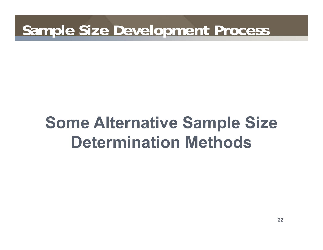# **Some Alternative Sample Size Determination Methods**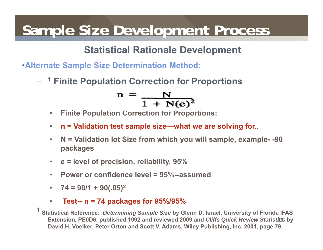#### **Statistical Rationale Development**

- •**Alternate Sample Size Determination Method:**
	- **1 Finite Population Correction for Proportions**

$$
n = \frac{N}{1 + N(e)^2}
$$

- $\bullet$ **Finite Population Correction for Proportions:**
- •**n = Validation test sample size—what we are solving for..**
- $\bullet$  **N = Validation lot Size from which you will sample, example- -90 packages**
- $\bullet$ **e = level of precision, reliability, 95%**
- $\bullet$ **Power or confidence level = 95%--assumed**
- $\bullet$ **74 = 90/1 + 90(.05) 2**
- •**Test-- n = 74 packages for 95%/95%**

**23Extension, PE0D6, published 1992 and reviewed 2009 and** *Cliffs Quick Review Statistics* **by 1 Statistical Reference:** *Determining Sample Size* **by Glenn D. Israel, University of Florida IFAS David H. Voelker, Peter Orton and Scott V. Adams, Wiley Publishing, Inc. 2001, page 79.**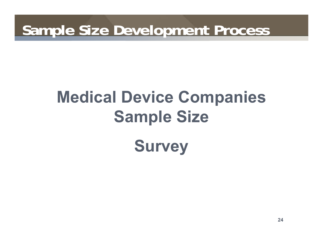# **Medical Device Companies Sample Size**

**Survey**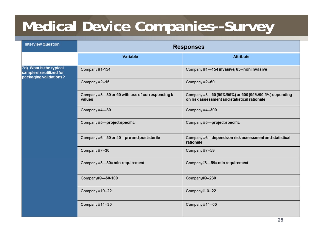## **Medical Device Companies--Survey**

| <b>Interview Question</b>                                                     | <b>Responses</b>                                          |                                                                                                      |  |  |  |  |  |
|-------------------------------------------------------------------------------|-----------------------------------------------------------|------------------------------------------------------------------------------------------------------|--|--|--|--|--|
|                                                                               | <b>Variable</b>                                           | <b>Attribute</b>                                                                                     |  |  |  |  |  |
| 7d) What is the typical<br>sample size utilized for<br>packaging validations? | Company #1-154                                            | Company #1-154 invasive, 65-non invasive                                                             |  |  |  |  |  |
|                                                                               | Company #2--15                                            | Company #2--60                                                                                       |  |  |  |  |  |
|                                                                               | Company #3-30 or 60 with use of corresponding k<br>values | Company #3-60 (95%/95%) or 600 (95%/99.5%) depending<br>on risk assessment and statistical rationale |  |  |  |  |  |
|                                                                               | Company #4-30                                             | Company #4--300                                                                                      |  |  |  |  |  |
|                                                                               | Company #5-project specific                               | Company #5-project specific                                                                          |  |  |  |  |  |
|                                                                               | Company #6-30 or 40-pre and post sterile                  | Company #6-depends on risk assessment and statistical<br>rationale                                   |  |  |  |  |  |
|                                                                               | Company #7--30                                            | Company #7--59                                                                                       |  |  |  |  |  |
|                                                                               | Company #8-30=min requirement                             | Company#8-59=min requirement                                                                         |  |  |  |  |  |
|                                                                               | Company#9-60-100                                          | Company#9--230                                                                                       |  |  |  |  |  |
|                                                                               | Company #10--22                                           | Company#10--22                                                                                       |  |  |  |  |  |
|                                                                               | Company #11--30                                           | Company #11--60                                                                                      |  |  |  |  |  |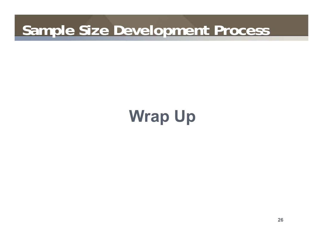## **Wrap Up**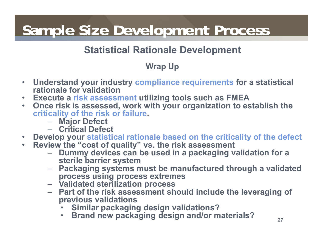### **Statistical Rationale Development**

#### **Wrap Up**

- $\bullet$  **Understand your industry compliance requirements for a statistical rationale for validation**
- $\bullet$ **Execute a risk assessment utilizing tools such as FMEA**
- $\bullet$  **Once risk is assessed, work with your organization to establish the criticality of the risk or failure.** 
	- **Major Defect**
	- **Critical Defect**
- **Develop your statistical rationale based on the criticality of the defect**
- $\bullet$  . **Review the "cost of quality" vs. the risk assessment**
	- **Dummy devices can be used in a packaging validation for a sterile barrier system**
	- **Packaging systems must be manufactured through a validated process using process extremes**
	- **Validated sterilization process**
	- **Part of the risk assessment should include the leveraging of previous validations**
		- •**Similar packaging design validations?**
		- $\bullet$ **Brand new packaging design and/or materials?**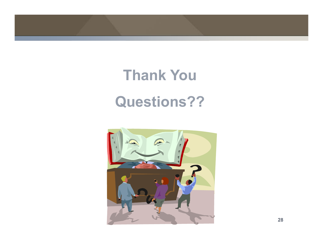

# **Thank You Questions??**